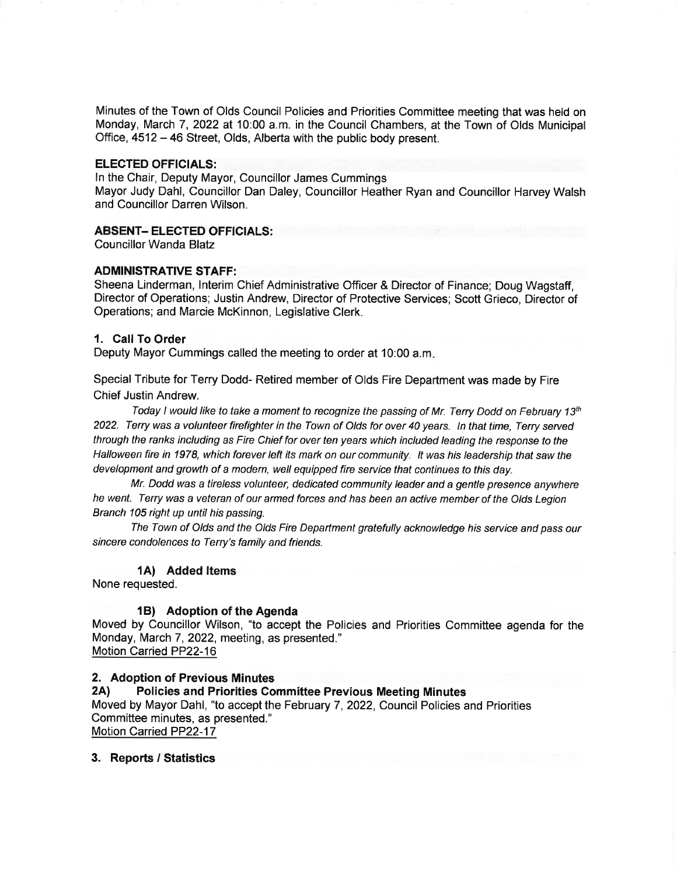Minutes of the Town of Olds Council Policies and Priorities Committee meeting that was held on Monday, March 7, 2022 at 10:00 a.m. in the Council Chambers, at the Town of Olds Municipal Office, 4512 - 46 Street, Olds, Alberta with the public body present.

#### ELECTED OFFICIALS:

ln the Chair, Deputy Mayor, Councillor James Cummings

Mayor Judy Dahl, Councillor Dan Daley, Councillor Heather Ryan and Councillor Harvey Walsh and Councillor Darren Wilson.

# ABSENT- ELECTED OFFICIALS:

Councillor Wanda Blatz

# ADMINISTRATIVE STAFF:

Sheena Linderman, lnterim Chief Administrative Officer & Director of Finance; Doug Wagstaff, Director of Operations; Justin Andrew, Director of Protective Services; Scott Grieco, Director of Operations; and Marcie McKinnon, Legislative Clerk.

# 1. Call To Order

Deputy Mayor Cummings called the meeting to order at 10:00 a.m

Special Tribute for Terry Dodd- Retired member of Olds Fire Department was made by Fire Chief Justin Andrew.

Today I would like to take a moment to recognize the passing of Mr. Terry Dodd on February 13<sup>th</sup> 2022. Terry was a volunteer firefighter in the Town of Olds for over 40 years. ln that time, Terry serued through the ranks including as Fire Chief for over ten years which included leading the response to the Halloween fire in 1978, which forever left its mark on our community. lt was his leadership that saw the development and growth of a modern, well equipped fire service that continues to this day.

Mr. Dodd was a tireless volunteer, dedicated community leader and a gentle presence anywhere he went. Terry was a veteran of our armed forces and has been an active member of the Olds Legion Branch 105 right up until his passing.

The Town of Olds and the Olds Fire Department gratefully acknowledge his service and pass our sincere condolences to Terry's family and friends.

### 1A) Added ltems

None requested.

# 1B) Adoption of the Agenda

Moved by Councillor Wilson, "to accept the Policies and Priorities Committee agenda for the Monday, March 7, 2022, meeting, as presented." Motion Carried PP22-16

# 2. Adoption of Previous Minutes<br>2A) Policies and Priorities Committee Previous Meeting Minutes

Moved by Mayor Dahl, "to accept the February 7,2022, Council Policies and Priorities Committee minutes, as presented." Motion Carried PP22-17

#### 3. Reports / Statistics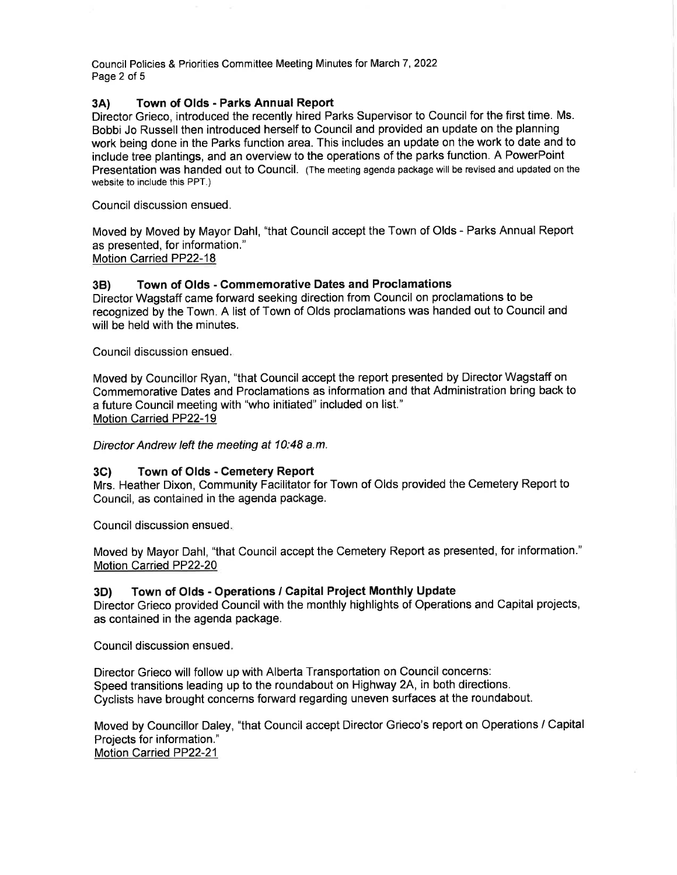Council Policies & Priorities Committee Meeting Minutes for March 7,2022 Page 2 of 5

# 3A) Town of Olds - Parks Annual Report

Director Grieco, introduced the recently hired Parks Supervisor to Council for the first time. Ms. Bobbi Jo Russell then introduced herself to Council and provided an update on the planning work being done in the Parks function area. This includes an update on the work to date and to include tree plantings, and an overview to the operations of the parks function. A PowerPoint Presentation was handed out to Council. (The meeting agenda package will be revised and updated on the website to include this PPT.)

Council discussion ensued.

Moved by Moved by Mayor Dahl, "that Council accept the Town of Olds - Parks Annual Report as presented, for information." Motion Carried PP22-18

# 38) Town of Olds - Commemorative Dates and Proclamations

Director Wagstaff came forward seeking direction from Council on proclamations to be recognized by the Town. A list of Town of Olds proclamations was handed out to Council and will be held with the minutes.

Council discussion ensued

Moved by Councillor Ryan, "that Council accept the report presented by Director Wagstaff on Commemorative Dates and Proclamations as information and that Administration bring back to a future Council meeting with "who initiated" included on list." Motion Carried PP22-19

Director Andrew left the meeting at 10:48 a.m.

#### 3C) Town of Olds - Cemetery Report

Mrs. Heather Dixon, Community Facilitator for Town of Olds provided the Cemetery Report to Council, as contained in the agenda package.

Council discussion ensued

Moved by Mayor Dahl, "that Council accept the Cemetery Report as presented, for information." Motion Carried PP22-20

# 3D) Town of Olds - Operations / Gapital Project Monthly Update

Director Grieco provided Council with the monthly highlights of Operations and Capital projects, as contained in the agenda package.

Council discussion ensued

Director Grieco will follow up with Alberta Transportation on Council concerns: Speed transitions leading up to the roundabout on Highway 2A, in both directions. Cyclists have brought concerns forward regarding uneven surfaces at the roundabout.

Moved by Councillor Daley, "that Council accept Director Grieco's report on Operations / Capital Projects for information." Motion Carried PP22-21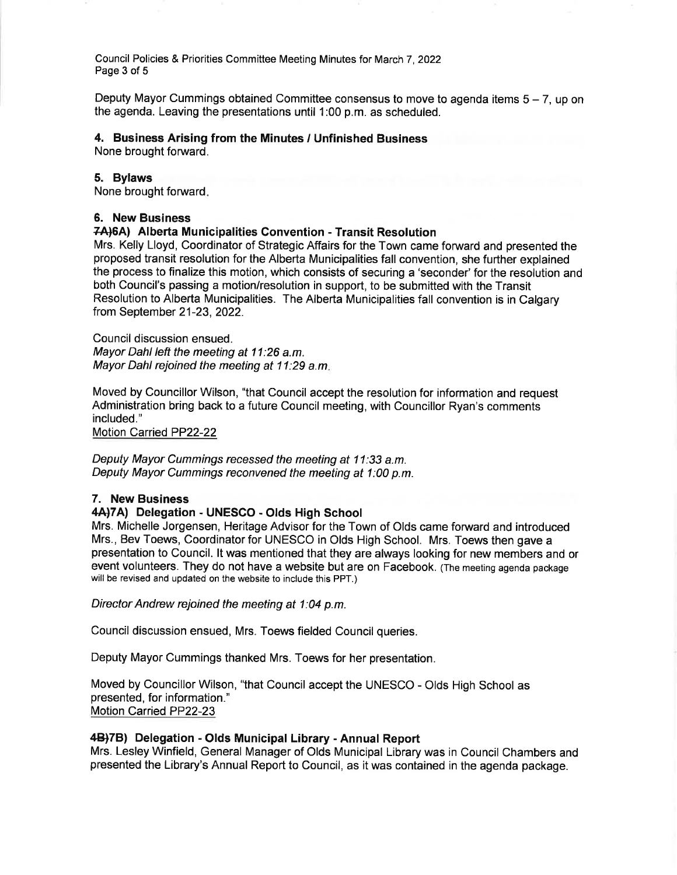Council Policies & Priorities Committee Meeting Minutes for March 7,2022 Page 3 of 5

Deputy Mayor Cummings obtained Committee consensus to move to agenda items  $5 - 7$ , up on the agenda. Leaving the presentations until 1:00 p.m. as scheduled.

#### 4. Business Arising from the Minutes / Unfinished Business

None brought forward.

#### 5. Bylaws

None brought forward

### 6. New Business

#### Z4)6A) Alberta Municipalities Convention - Transit Resolution

Mrs. Kelly Lloyd, Coordinator of Strategic Affairs for the Town came forward and presented the proposed transit resolution for the Alberta Municipalities fall convention, she further explained the process to finalize this motion, which consists of securing a 'seconder' for the resolution and both Council's passing a motion/resolution in support, to be submitted with the Transit Resolution to Alberta Municipalities. The Alberta Municipalities fall convention is in Calgary from September 21 -23, 2022.

Council discussion ensued. Mayor Dahl left the meeting at 11:26 a.m. Mayor Dahl rejoined the meeting at 11:29 a.m.

Moved by Councillor Wilson, "that Council accept the resolution for information and request Administration bring back to a future Council meeting, with Councillor Ryan's comments included."

Motion Carried PP22-22

Deputy Mayor Cummings recessed the meeting at 11:33 a.m. Deputy Mayor Cummings reconvened the meeting at 1:00 p.m.

#### 7. New Business

#### 4A)7A) Delegation - UNESCO - Olds High School

Mrs. Michelle Jorgensen, Heritage Advisor for the Town of Olds came forward and introduced Mrs., Bev Toews, Coordinator for UNESCO in Olds High School. Mrs. Toews then gave a presentation to Council. lt was mentioned that they are always looking for new members and or event volunteers. They do not have a website but are on Facebook. (The meeting agenda package will be revised and updated on the website to include this PPT.)

Director Andrew rejoined the meeting at 1:04 p.m.

Council discussion ensued, Mrs. Toews fielded Councilqueries.

Deputy Mayor Cummings thanked Mrs. Toews for her presentation.

Moved by Councillor Wilson, "that Council accept the UNESCO - Olds High School as presented, for information." Motion Carried PP22-23

### 4B)7B) Delegation - Olds Municipal Library - Annual Report

Mrs. Lesley Winfield, General Manager of Olds Municipal Library was in Council Chambers and presented the Library's Annual Report to Council, as it was contained in the agenda package.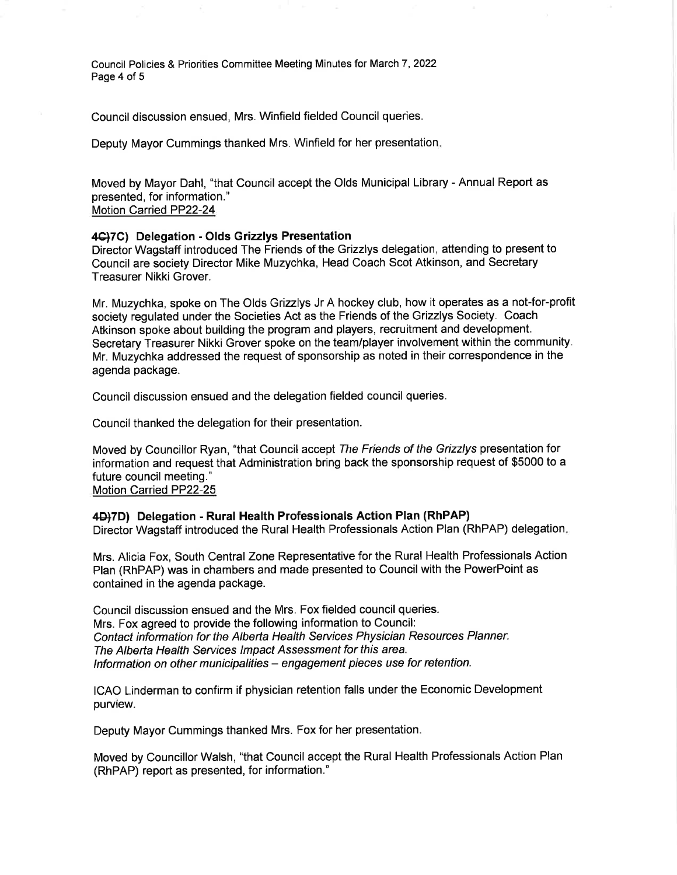Council Policies & Priorities Committee Meeting Minutes for March 7,2022 Page 4 of 5

Council discussion ensued, Mrs. Winfield fielded Council queries.

Deputy Mayor Cummings thanked Mrs. Winfield for her presentation

Moved by Mayor Dahl, "that Council accept the Olds Municipal Library - Annual Report as presented, for information." Motion Carried PP22-24

#### 4€)7C) Delegation - Olds Grizzlys Presentation

Director Wagstaff introduced The Friends of the Grizzlys delegation, attending to present to Council are society Director Mike Muzychka, Head Coach Scot Atkinson, and Secretary Treasurer Nikki Grover.

Mr. Muzychka, spoke on The Olds Grizzlys Jr A hockey club, how it operates as a not-for-profit society regulated under the Societies Act as the Friends of the Grizzlys Society. Coach Atkinson spoke about building the program and players, recruitment and development. Secretary Treasurer Nikki Grover spoke on the team/player involvement within the community. Mr. Muzychka addressed the request of sponsorship as noted in their correspondence in the agenda package.

Council discussion ensued and the delegation fielded council queries.

Council thanked the delegation for their presentation.

Moved by Councillor Ryan, "that Council accept The Friends of the Grizzlys presentation for information and request that Administration bring back the sponsorship request of \$5000 to a future council meeting." Motion Carried PP22-25

#### 4D)7D) Delegation - Rural Health Professionals Action Plan (RhPAP)

Director Wagstaff introduced the Rural Health Professionals Action Plan (RhPAP) delegation

Mrs. Alicia Fox, South Central Zone Representative for the Rural Health Professionals Action Plan (RhPAP) was in chambers and made presented to Council with the PowerPoint as contained in the agenda package.

Council discussion ensued and the Mrs. Fox fielded council queries. Mrs. Fox agreed to provide the following information to Council: Contact information for the Alberta Health Serylces Physician Resources Planner. The Alberta Health Services lmpact Assessment for this area. Information on other municipalities – engagement pieces use for retention.

ICAO Linderman to confirm if physician retention falls under the Economic Development purview.

Deputy Mayor Cummings thanked Mrs. Fox for her presentation.

Moved by Councillor Walsh, "that Council accept the Rural Health Professionals Action Plan (RhPAP) report as presented, for information."